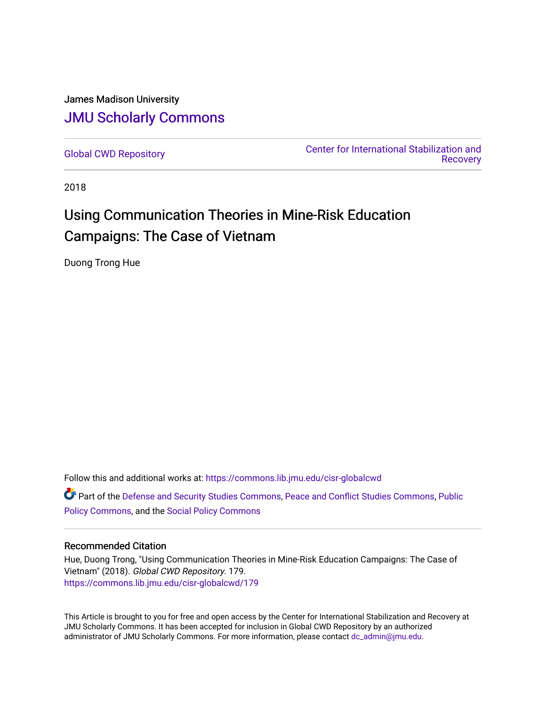# James Madison University [JMU Scholarly Commons](https://commons.lib.jmu.edu/)

[Global CWD Repository](https://commons.lib.jmu.edu/cisr-globalcwd) [Center for International Stabilization and](https://commons.lib.jmu.edu/cisr)  **Recovery** 

2018

# Using Communication Theories in Mine-Risk Education Campaigns: The Case of Vietnam

Duong Trong Hue

Follow this and additional works at: [https://commons.lib.jmu.edu/cisr-globalcwd](https://commons.lib.jmu.edu/cisr-globalcwd?utm_source=commons.lib.jmu.edu%2Fcisr-globalcwd%2F179&utm_medium=PDF&utm_campaign=PDFCoverPages)

Part of the [Defense and Security Studies Commons](http://network.bepress.com/hgg/discipline/394?utm_source=commons.lib.jmu.edu%2Fcisr-globalcwd%2F179&utm_medium=PDF&utm_campaign=PDFCoverPages), [Peace and Conflict Studies Commons](http://network.bepress.com/hgg/discipline/397?utm_source=commons.lib.jmu.edu%2Fcisr-globalcwd%2F179&utm_medium=PDF&utm_campaign=PDFCoverPages), [Public](http://network.bepress.com/hgg/discipline/400?utm_source=commons.lib.jmu.edu%2Fcisr-globalcwd%2F179&utm_medium=PDF&utm_campaign=PDFCoverPages) [Policy Commons](http://network.bepress.com/hgg/discipline/400?utm_source=commons.lib.jmu.edu%2Fcisr-globalcwd%2F179&utm_medium=PDF&utm_campaign=PDFCoverPages), and the [Social Policy Commons](http://network.bepress.com/hgg/discipline/1030?utm_source=commons.lib.jmu.edu%2Fcisr-globalcwd%2F179&utm_medium=PDF&utm_campaign=PDFCoverPages)

#### Recommended Citation

Hue, Duong Trong, "Using Communication Theories in Mine-Risk Education Campaigns: The Case of Vietnam" (2018). Global CWD Repository. 179. [https://commons.lib.jmu.edu/cisr-globalcwd/179](https://commons.lib.jmu.edu/cisr-globalcwd/179?utm_source=commons.lib.jmu.edu%2Fcisr-globalcwd%2F179&utm_medium=PDF&utm_campaign=PDFCoverPages)

This Article is brought to you for free and open access by the Center for International Stabilization and Recovery at JMU Scholarly Commons. It has been accepted for inclusion in Global CWD Repository by an authorized administrator of JMU Scholarly Commons. For more information, please contact [dc\\_admin@jmu.edu](mailto:dc_admin@jmu.edu).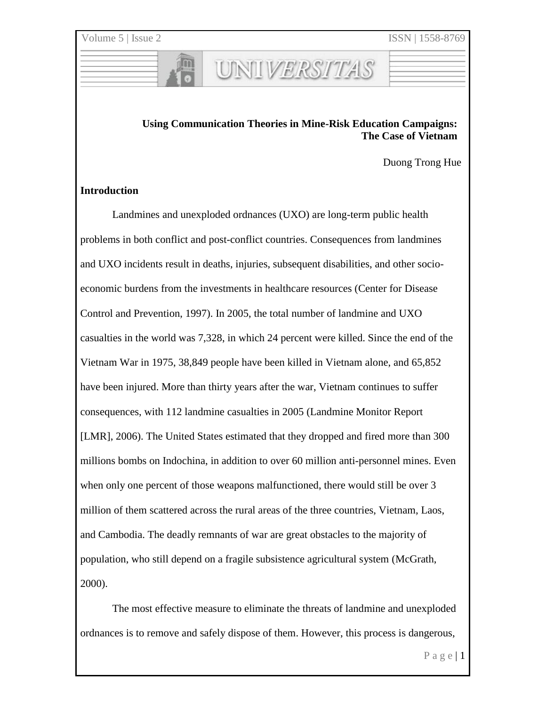# **Using Communication Theories in Mine-Risk Education Campaigns: The Case of Vietnam**

UNIVERSITAS

Duong Trong Hue

#### **Introduction**

Landmines and unexploded ordnances (UXO) are long-term public health problems in both conflict and post-conflict countries. Consequences from landmines and UXO incidents result in deaths, injuries, subsequent disabilities, and other socioeconomic burdens from the investments in healthcare resources (Center for Disease Control and Prevention, 1997). In 2005, the total number of landmine and UXO casualties in the world was 7,328, in which 24 percent were killed. Since the end of the Vietnam War in 1975, 38,849 people have been killed in Vietnam alone, and 65,852 have been injured. More than thirty years after the war, Vietnam continues to suffer consequences, with 112 landmine casualties in 2005 (Landmine Monitor Report [LMR], 2006). The United States estimated that they dropped and fired more than 300 millions bombs on Indochina, in addition to over 60 million anti-personnel mines. Even when only one percent of those weapons malfunctioned, there would still be over 3 million of them scattered across the rural areas of the three countries, Vietnam, Laos, and Cambodia. The deadly remnants of war are great obstacles to the majority of population, who still depend on a fragile subsistence agricultural system (McGrath, 2000).

The most effective measure to eliminate the threats of landmine and unexploded ordnances is to remove and safely dispose of them. However, this process is dangerous,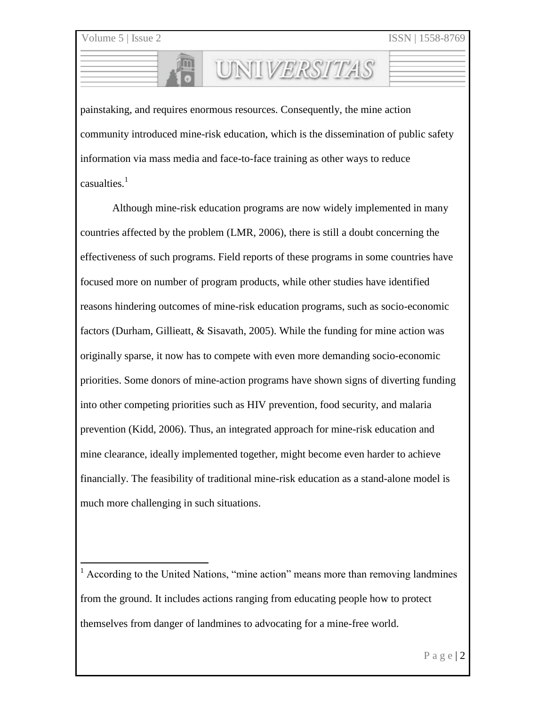$\overline{a}$ 

painstaking, and requires enormous resources. Consequently, the mine action community introduced mine-risk education, which is the dissemination of public safety information via mass media and face-to-face training as other ways to reduce casualties.<sup>1</sup>

UNIIVERSITAS

Although mine-risk education programs are now widely implemented in many countries affected by the problem (LMR, 2006), there is still a doubt concerning the effectiveness of such programs. Field reports of these programs in some countries have focused more on number of program products, while other studies have identified reasons hindering outcomes of mine-risk education programs, such as socio-economic factors (Durham, Gillieatt, & Sisavath, 2005). While the funding for mine action was originally sparse, it now has to compete with even more demanding socio-economic priorities. Some donors of mine-action programs have shown signs of diverting funding into other competing priorities such as HIV prevention, food security, and malaria prevention (Kidd, 2006). Thus, an integrated approach for mine-risk education and mine clearance, ideally implemented together, might become even harder to achieve financially. The feasibility of traditional mine-risk education as a stand-alone model is much more challenging in such situations.

 $<sup>1</sup>$  According to the United Nations, "mine action" means more than removing landmines</sup> from the ground. It includes actions ranging from educating people how to protect themselves from danger of landmines to advocating for a mine-free world.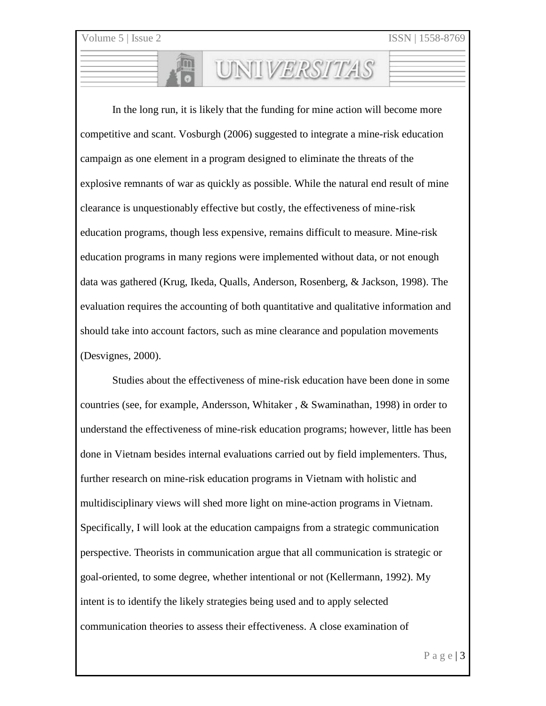In the long run, it is likely that the funding for mine action will become more competitive and scant. Vosburgh (2006) suggested to integrate a mine-risk education campaign as one element in a program designed to eliminate the threats of the explosive remnants of war as quickly as possible. While the natural end result of mine clearance is unquestionably effective but costly, the effectiveness of mine-risk education programs, though less expensive, remains difficult to measure. Mine-risk education programs in many regions were implemented without data, or not enough data was gathered (Krug, Ikeda, Qualls, Anderson, Rosenberg, & Jackson, 1998). The evaluation requires the accounting of both quantitative and qualitative information and should take into account factors, such as mine clearance and population movements (Desvignes, 2000).

UNIVERSITAS

Studies about the effectiveness of mine-risk education have been done in some countries (see, for example, Andersson, Whitaker , & Swaminathan, 1998) in order to understand the effectiveness of mine-risk education programs; however, little has been done in Vietnam besides internal evaluations carried out by field implementers. Thus, further research on mine-risk education programs in Vietnam with holistic and multidisciplinary views will shed more light on mine-action programs in Vietnam. Specifically, I will look at the education campaigns from a strategic communication perspective. Theorists in communication argue that all communication is strategic or goal-oriented, to some degree, whether intentional or not (Kellermann, 1992). My intent is to identify the likely strategies being used and to apply selected communication theories to assess their effectiveness. A close examination of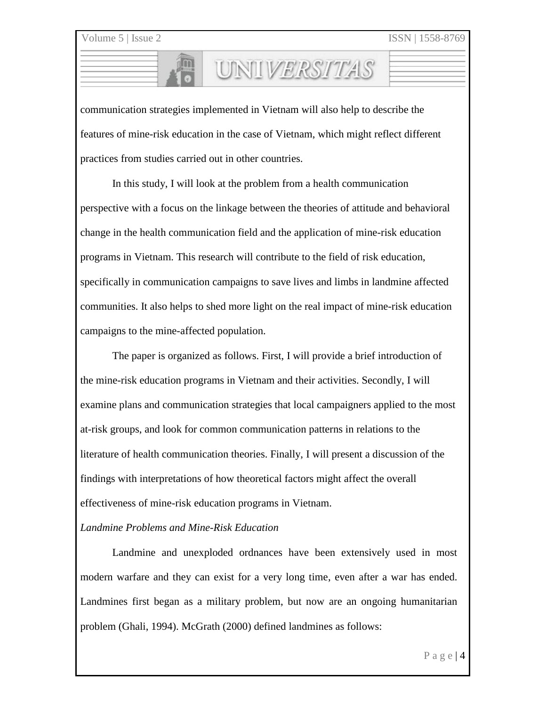ISSN | 1558-8769

communication strategies implemented in Vietnam will also help to describe the features of mine-risk education in the case of Vietnam, which might reflect different practices from studies carried out in other countries.

UNILVERSITAS

In this study, I will look at the problem from a health communication perspective with a focus on the linkage between the theories of attitude and behavioral change in the health communication field and the application of mine-risk education programs in Vietnam. This research will contribute to the field of risk education, specifically in communication campaigns to save lives and limbs in landmine affected communities. It also helps to shed more light on the real impact of mine-risk education campaigns to the mine-affected population.

The paper is organized as follows. First, I will provide a brief introduction of the mine-risk education programs in Vietnam and their activities. Secondly, I will examine plans and communication strategies that local campaigners applied to the most at-risk groups, and look for common communication patterns in relations to the literature of health communication theories. Finally, I will present a discussion of the findings with interpretations of how theoretical factors might affect the overall effectiveness of mine-risk education programs in Vietnam.

# *Landmine Problems and Mine-Risk Education*

Landmine and unexploded ordnances have been extensively used in most modern warfare and they can exist for a very long time, even after a war has ended. Landmines first began as a military problem, but now are an ongoing humanitarian problem (Ghali, 1994). McGrath (2000) defined landmines as follows: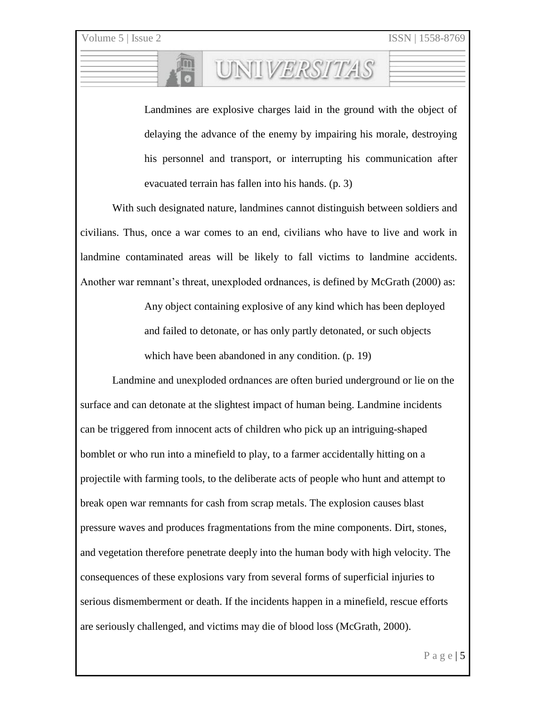Landmines are explosive charges laid in the ground with the object of delaying the advance of the enemy by impairing his morale, destroying his personnel and transport, or interrupting his communication after evacuated terrain has fallen into his hands. (p. 3)

UNIVERSITAS

With such designated nature, landmines cannot distinguish between soldiers and civilians. Thus, once a war comes to an end, civilians who have to live and work in landmine contaminated areas will be likely to fall victims to landmine accidents. Another war remnant's threat, unexploded ordnances, is defined by McGrath (2000) as:

> Any object containing explosive of any kind which has been deployed and failed to detonate, or has only partly detonated, or such objects which have been abandoned in any condition. (p. 19)

Landmine and unexploded ordnances are often buried underground or lie on the surface and can detonate at the slightest impact of human being. Landmine incidents can be triggered from innocent acts of children who pick up an intriguing-shaped bomblet or who run into a minefield to play, to a farmer accidentally hitting on a projectile with farming tools, to the deliberate acts of people who hunt and attempt to break open war remnants for cash from scrap metals. The explosion causes blast pressure waves and produces fragmentations from the mine components. Dirt, stones, and vegetation therefore penetrate deeply into the human body with high velocity. The consequences of these explosions vary from several forms of superficial injuries to serious dismemberment or death. If the incidents happen in a minefield, rescue efforts are seriously challenged, and victims may die of blood loss (McGrath, 2000).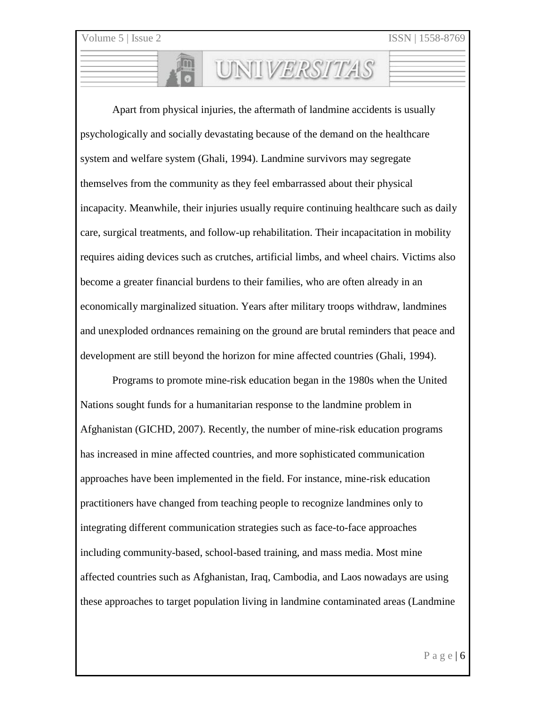Apart from physical injuries, the aftermath of landmine accidents is usually psychologically and socially devastating because of the demand on the healthcare system and welfare system (Ghali, 1994). Landmine survivors may segregate themselves from the community as they feel embarrassed about their physical incapacity. Meanwhile, their injuries usually require continuing healthcare such as daily care, surgical treatments, and follow-up rehabilitation. Their incapacitation in mobility requires aiding devices such as crutches, artificial limbs, and wheel chairs. Victims also become a greater financial burdens to their families, who are often already in an economically marginalized situation. Years after military troops withdraw, landmines and unexploded ordnances remaining on the ground are brutal reminders that peace and development are still beyond the horizon for mine affected countries (Ghali, 1994).

UNILVERSITAS

Programs to promote mine-risk education began in the 1980s when the United Nations sought funds for a humanitarian response to the landmine problem in Afghanistan (GICHD, 2007). Recently, the number of mine-risk education programs has increased in mine affected countries, and more sophisticated communication approaches have been implemented in the field. For instance, mine-risk education practitioners have changed from teaching people to recognize landmines only to integrating different communication strategies such as face-to-face approaches including community-based, school-based training, and mass media. Most mine affected countries such as Afghanistan, Iraq, Cambodia, and Laos nowadays are using these approaches to target population living in landmine contaminated areas (Landmine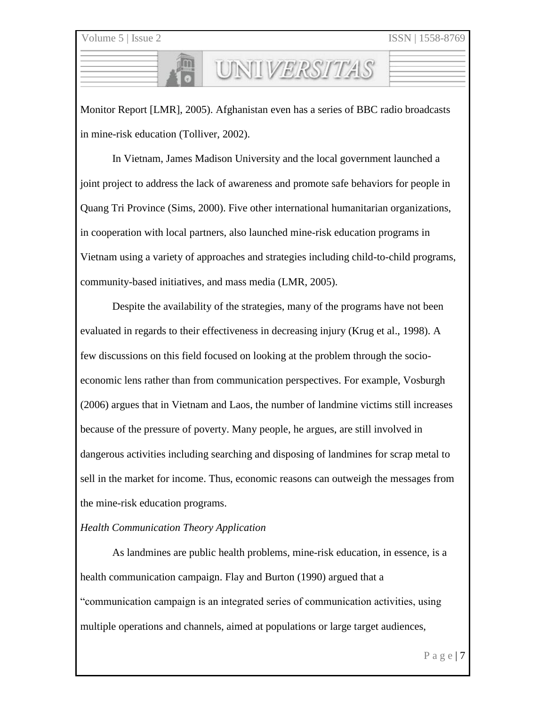Monitor Report [LMR], 2005). Afghanistan even has a series of BBC radio broadcasts in mine-risk education (Tolliver, 2002).

UNIVERSITAS

In Vietnam, James Madison University and the local government launched a joint project to address the lack of awareness and promote safe behaviors for people in Quang Tri Province (Sims, 2000). Five other international humanitarian organizations, in cooperation with local partners, also launched mine-risk education programs in Vietnam using a variety of approaches and strategies including child-to-child programs, community-based initiatives, and mass media (LMR, 2005).

Despite the availability of the strategies, many of the programs have not been evaluated in regards to their effectiveness in decreasing injury (Krug et al., 1998). A few discussions on this field focused on looking at the problem through the socioeconomic lens rather than from communication perspectives. For example, Vosburgh (2006) argues that in Vietnam and Laos, the number of landmine victims still increases because of the pressure of poverty. Many people, he argues, are still involved in dangerous activities including searching and disposing of landmines for scrap metal to sell in the market for income. Thus, economic reasons can outweigh the messages from the mine-risk education programs.

#### *Health Communication Theory Application*

As landmines are public health problems, mine-risk education, in essence, is a health communication campaign. Flay and Burton (1990) argued that a "communication campaign is an integrated series of communication activities, using multiple operations and channels, aimed at populations or large target audiences,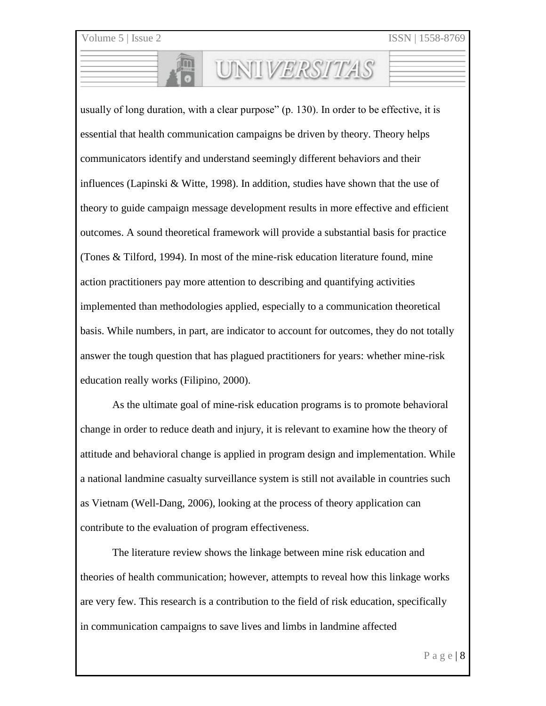usually of long duration, with a clear purpose" (p. 130). In order to be effective, it is essential that health communication campaigns be driven by theory. Theory helps communicators identify and understand seemingly different behaviors and their influences (Lapinski & Witte, 1998). In addition, studies have shown that the use of theory to guide campaign message development results in more effective and efficient outcomes. A sound theoretical framework will provide a substantial basis for practice (Tones & Tilford, 1994). In most of the mine-risk education literature found, mine action practitioners pay more attention to describing and quantifying activities implemented than methodologies applied, especially to a communication theoretical basis. While numbers, in part, are indicator to account for outcomes, they do not totally answer the tough question that has plagued practitioners for years: whether mine-risk education really works (Filipino, 2000).

UNIVERSITAS

As the ultimate goal of mine-risk education programs is to promote behavioral change in order to reduce death and injury, it is relevant to examine how the theory of attitude and behavioral change is applied in program design and implementation. While a national landmine casualty surveillance system is still not available in countries such as Vietnam (Well-Dang, 2006), looking at the process of theory application can contribute to the evaluation of program effectiveness.

The literature review shows the linkage between mine risk education and theories of health communication; however, attempts to reveal how this linkage works are very few. This research is a contribution to the field of risk education, specifically in communication campaigns to save lives and limbs in landmine affected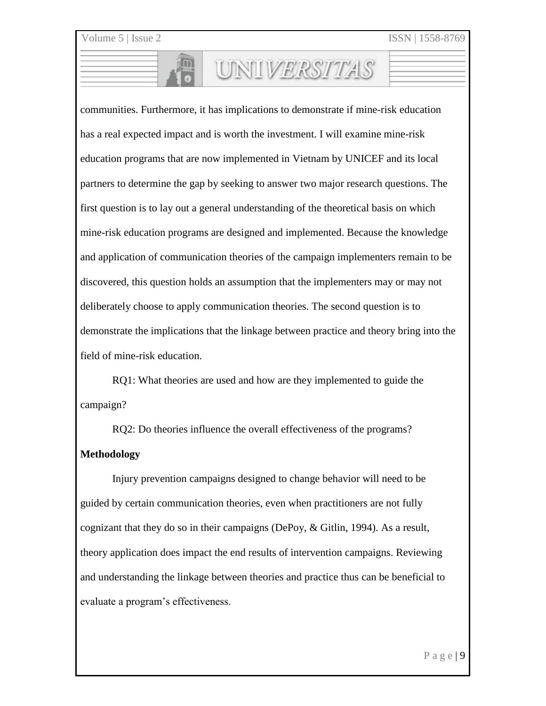communities. Furthermore, it has implications to demonstrate if mine-risk education has a real expected impact and is worth the investment. I will examine mine-risk education programs that are now implemented in Vietnam by UNICEF and its local partners to determine the gap by seeking to answer two major research questions. The first question is to lay out a general understanding of the theoretical basis on which mine-risk education programs are designed and implemented. Because the knowledge and application of communication theories of the campaign implementers remain to be discovered, this question holds an assumption that the implementers may or may not deliberately choose to apply communication theories. The second question is to demonstrate the implications that the linkage between practice and theory bring into the field of mine-risk education.

UNILVERSITAS

RQ1: What theories are used and how are they implemented to guide the campaign?

RQ2: Do theories influence the overall effectiveness of the programs?

#### **Methodology**

Injury prevention campaigns designed to change behavior will need to be guided by certain communication theories, even when practitioners are not fully cognizant that they do so in their campaigns (DePoy, & Gitlin, 1994). As a result, theory application does impact the end results of intervention campaigns. Reviewing and understanding the linkage between theories and practice thus can be beneficial to evaluate a program's effectiveness.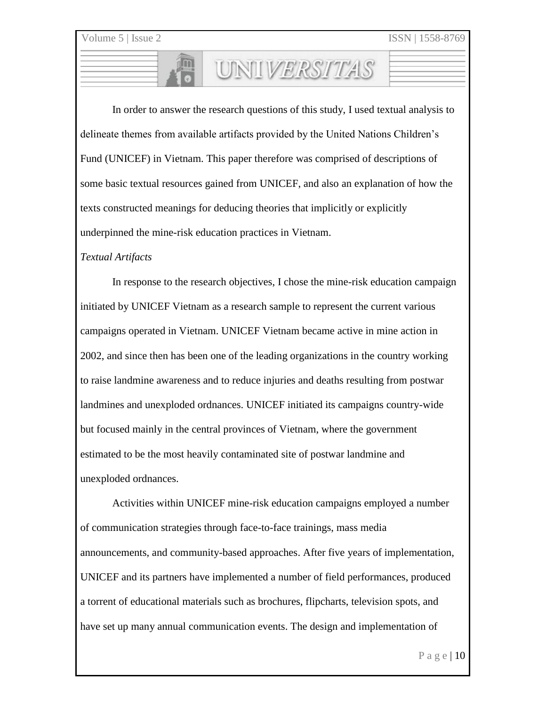In order to answer the research questions of this study, I used textual analysis to delineate themes from available artifacts provided by the United Nations Children's Fund (UNICEF) in Vietnam. This paper therefore was comprised of descriptions of some basic textual resources gained from UNICEF, and also an explanation of how the texts constructed meanings for deducing theories that implicitly or explicitly underpinned the mine-risk education practices in Vietnam.

UNILVERSITAS

#### *Textual Artifacts*

In response to the research objectives, I chose the mine-risk education campaign initiated by UNICEF Vietnam as a research sample to represent the current various campaigns operated in Vietnam. UNICEF Vietnam became active in mine action in 2002, and since then has been one of the leading organizations in the country working to raise landmine awareness and to reduce injuries and deaths resulting from postwar landmines and unexploded ordnances. UNICEF initiated its campaigns country-wide but focused mainly in the central provinces of Vietnam, where the government estimated to be the most heavily contaminated site of postwar landmine and unexploded ordnances.

Activities within UNICEF mine-risk education campaigns employed a number of communication strategies through face-to-face trainings, mass media announcements, and community-based approaches. After five years of implementation, UNICEF and its partners have implemented a number of field performances, produced a torrent of educational materials such as brochures, flipcharts, television spots, and have set up many annual communication events. The design and implementation of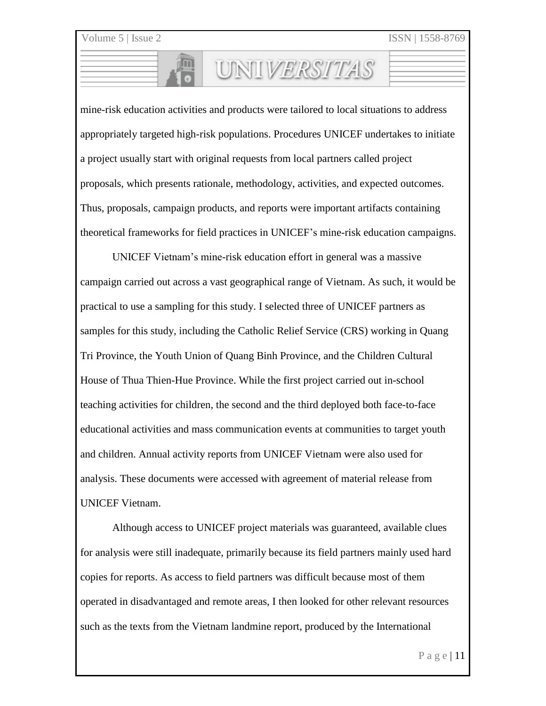mine-risk education activities and products were tailored to local situations to address appropriately targeted high-risk populations. Procedures UNICEF undertakes to initiate a project usually start with original requests from local partners called project proposals, which presents rationale, methodology, activities, and expected outcomes. Thus, proposals, campaign products, and reports were important artifacts containing theoretical frameworks for field practices in UNICEF's mine-risk education campaigns.

UNIVERSITAS

UNICEF Vietnam's mine-risk education effort in general was a massive campaign carried out across a vast geographical range of Vietnam. As such, it would be practical to use a sampling for this study. I selected three of UNICEF partners as samples for this study, including the Catholic Relief Service (CRS) working in Quang Tri Province, the Youth Union of Quang Binh Province, and the Children Cultural House of Thua Thien-Hue Province. While the first project carried out in-school teaching activities for children, the second and the third deployed both face-to-face educational activities and mass communication events at communities to target youth and children. Annual activity reports from UNICEF Vietnam were also used for analysis. These documents were accessed with agreement of material release from UNICEF Vietnam.

Although access to UNICEF project materials was guaranteed, available clues for analysis were still inadequate, primarily because its field partners mainly used hard copies for reports. As access to field partners was difficult because most of them operated in disadvantaged and remote areas, I then looked for other relevant resources such as the texts from the Vietnam landmine report, produced by the International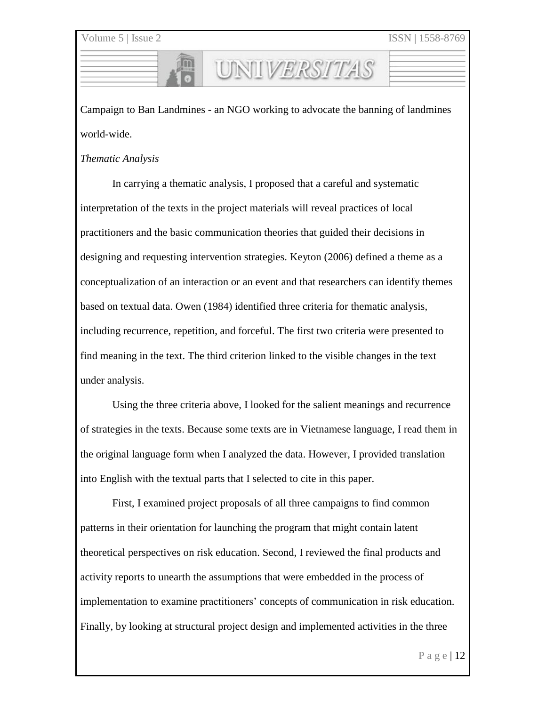Campaign to Ban Landmines - an NGO working to advocate the banning of landmines world-wide.

UNILVERSITAS

#### *Thematic Analysis*

In carrying a thematic analysis, I proposed that a careful and systematic interpretation of the texts in the project materials will reveal practices of local practitioners and the basic communication theories that guided their decisions in designing and requesting intervention strategies. Keyton (2006) defined a theme as a conceptualization of an interaction or an event and that researchers can identify themes based on textual data. Owen (1984) identified three criteria for thematic analysis, including recurrence, repetition, and forceful. The first two criteria were presented to find meaning in the text. The third criterion linked to the visible changes in the text under analysis.

Using the three criteria above, I looked for the salient meanings and recurrence of strategies in the texts. Because some texts are in Vietnamese language, I read them in the original language form when I analyzed the data. However, I provided translation into English with the textual parts that I selected to cite in this paper.

First, I examined project proposals of all three campaigns to find common patterns in their orientation for launching the program that might contain latent theoretical perspectives on risk education. Second, I reviewed the final products and activity reports to unearth the assumptions that were embedded in the process of implementation to examine practitioners' concepts of communication in risk education. Finally, by looking at structural project design and implemented activities in the three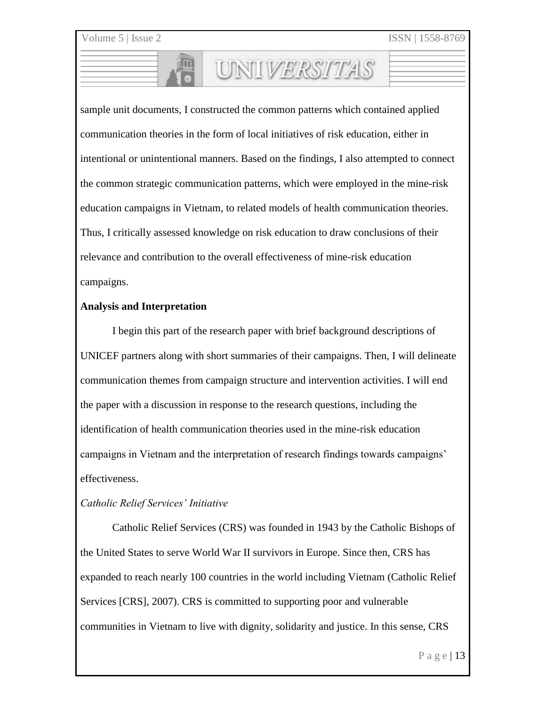sample unit documents, I constructed the common patterns which contained applied communication theories in the form of local initiatives of risk education, either in intentional or unintentional manners. Based on the findings, I also attempted to connect the common strategic communication patterns, which were employed in the mine-risk education campaigns in Vietnam, to related models of health communication theories. Thus, I critically assessed knowledge on risk education to draw conclusions of their relevance and contribution to the overall effectiveness of mine-risk education campaigns.

UNIVERSITAS

#### **Analysis and Interpretation**

I begin this part of the research paper with brief background descriptions of UNICEF partners along with short summaries of their campaigns. Then, I will delineate communication themes from campaign structure and intervention activities. I will end the paper with a discussion in response to the research questions, including the identification of health communication theories used in the mine-risk education campaigns in Vietnam and the interpretation of research findings towards campaigns' effectiveness.

#### *Catholic Relief Services' Initiative*

Catholic Relief Services (CRS) was founded in 1943 by the Catholic Bishops of the United States to serve World War II survivors in Europe. Since then, CRS has expanded to reach nearly 100 countries in the world including Vietnam (Catholic Relief Services [CRS], 2007). CRS is committed to supporting poor and vulnerable communities in Vietnam to live with dignity, solidarity and justice. In this sense, CRS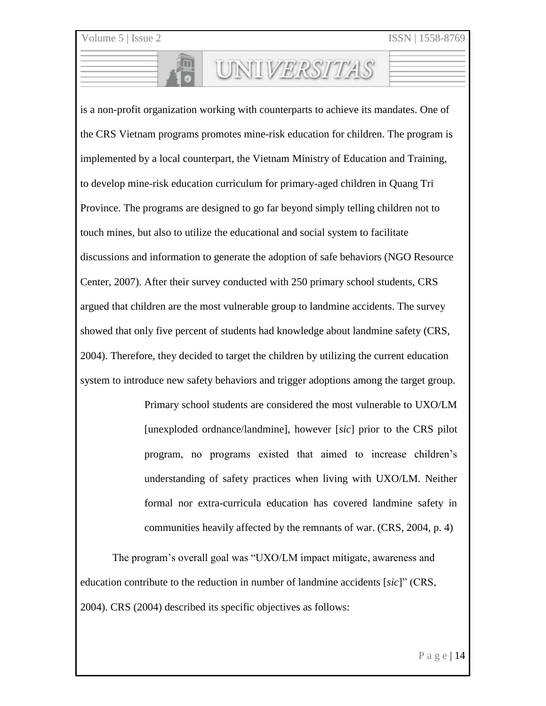is a non-profit organization working with counterparts to achieve its mandates. One of the CRS Vietnam programs promotes mine-risk education for children. The program is implemented by a local counterpart, the Vietnam Ministry of Education and Training, to develop mine-risk education curriculum for primary-aged children in Quang Tri Province. The programs are designed to go far beyond simply telling children not to touch mines, but also to utilize the educational and social system to facilitate discussions and information to generate the adoption of safe behaviors (NGO Resource Center, 2007). After their survey conducted with 250 primary school students, CRS argued that children are the most vulnerable group to landmine accidents. The survey showed that only five percent of students had knowledge about landmine safety (CRS, 2004). Therefore, they decided to target the children by utilizing the current education system to introduce new safety behaviors and trigger adoptions among the target group.

UNIVERSITAS

Primary school students are considered the most vulnerable to UXO/LM [unexploded ordnance/landmine], however [*sic*] prior to the CRS pilot program, no programs existed that aimed to increase children's understanding of safety practices when living with UXO/LM. Neither formal nor extra-curricula education has covered landmine safety in communities heavily affected by the remnants of war. (CRS, 2004, p. 4)

The program's overall goal was "UXO/LM impact mitigate, awareness and education contribute to the reduction in number of landmine accidents [*sic*]" (CRS, 2004). CRS (2004) described its specific objectives as follows: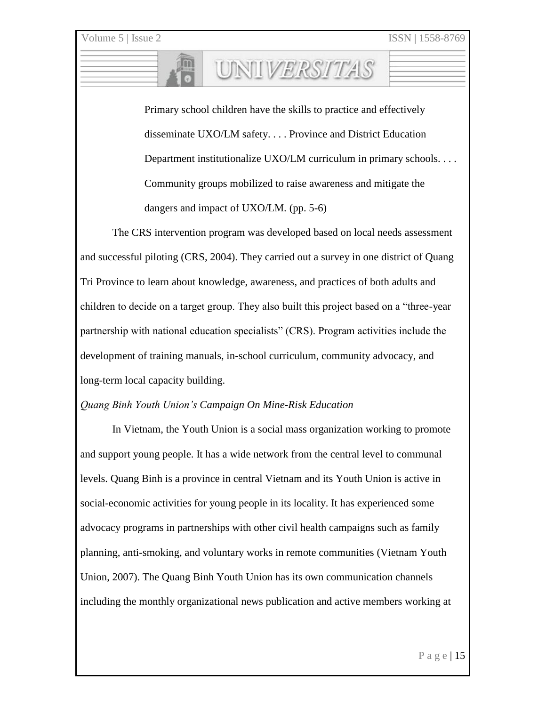Primary school children have the skills to practice and effectively disseminate UXO/LM safety. . . . Province and District Education Department institutionalize UXO/LM curriculum in primary schools. . . . Community groups mobilized to raise awareness and mitigate the dangers and impact of UXO/LM. (pp. 5-6)

UNIVERSITAS

The CRS intervention program was developed based on local needs assessment and successful piloting (CRS, 2004). They carried out a survey in one district of Quang Tri Province to learn about knowledge, awareness, and practices of both adults and children to decide on a target group. They also built this project based on a "three-year partnership with national education specialists" (CRS). Program activities include the development of training manuals, in-school curriculum, community advocacy, and long-term local capacity building.

#### *Quang Binh Youth Union's Campaign On Mine-Risk Education*

In Vietnam, the Youth Union is a social mass organization working to promote and support young people. It has a wide network from the central level to communal levels. Quang Binh is a province in central Vietnam and its Youth Union is active in social-economic activities for young people in its locality. It has experienced some advocacy programs in partnerships with other civil health campaigns such as family planning, anti-smoking, and voluntary works in remote communities (Vietnam Youth Union, 2007). The Quang Binh Youth Union has its own communication channels including the monthly organizational news publication and active members working at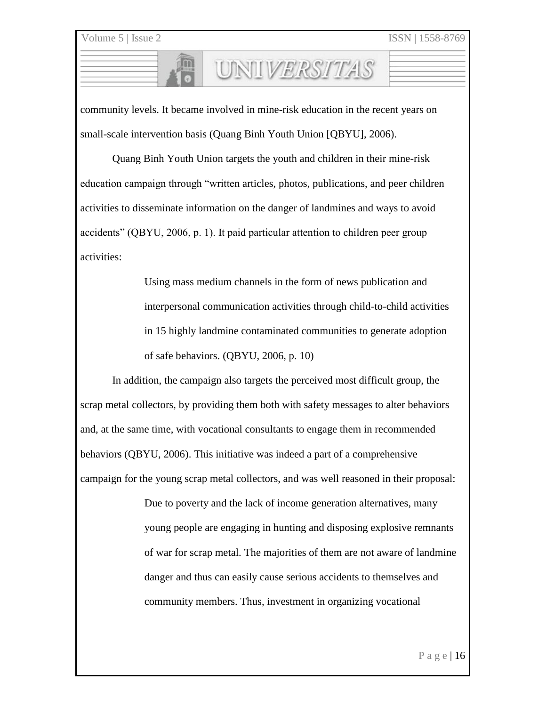community levels. It became involved in mine-risk education in the recent years on small-scale intervention basis (Quang Binh Youth Union [QBYU], 2006).

UNILVERSITAS

Quang Binh Youth Union targets the youth and children in their mine-risk education campaign through "written articles, photos, publications, and peer children activities to disseminate information on the danger of landmines and ways to avoid accidents" (QBYU, 2006, p. 1). It paid particular attention to children peer group activities:

> Using mass medium channels in the form of news publication and interpersonal communication activities through child-to-child activities in 15 highly landmine contaminated communities to generate adoption of safe behaviors. (QBYU, 2006, p. 10)

In addition, the campaign also targets the perceived most difficult group, the scrap metal collectors, by providing them both with safety messages to alter behaviors and, at the same time, with vocational consultants to engage them in recommended behaviors (QBYU, 2006). This initiative was indeed a part of a comprehensive campaign for the young scrap metal collectors, and was well reasoned in their proposal:

> Due to poverty and the lack of income generation alternatives, many young people are engaging in hunting and disposing explosive remnants of war for scrap metal. The majorities of them are not aware of landmine danger and thus can easily cause serious accidents to themselves and community members. Thus, investment in organizing vocational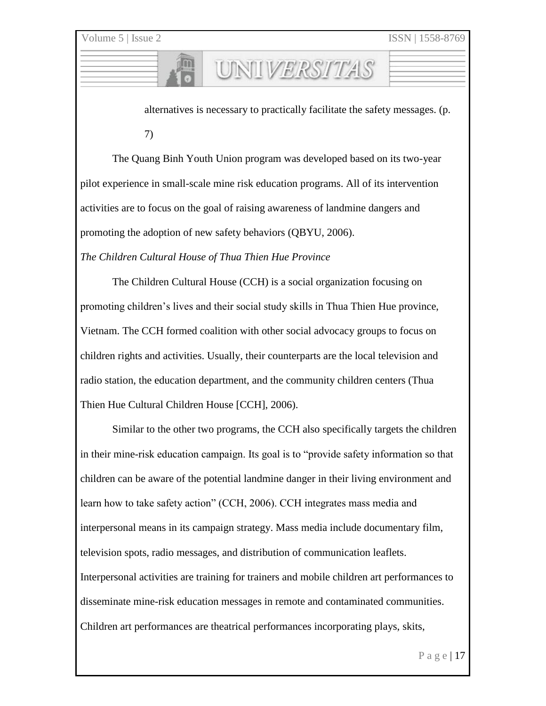alternatives is necessary to practically facilitate the safety messages. (p. 7)

UNIVERSITAS

The Quang Binh Youth Union program was developed based on its two-year pilot experience in small-scale mine risk education programs. All of its intervention activities are to focus on the goal of raising awareness of landmine dangers and promoting the adoption of new safety behaviors (QBYU, 2006).

*The Children Cultural House of Thua Thien Hue Province*

The Children Cultural House (CCH) is a social organization focusing on promoting children's lives and their social study skills in Thua Thien Hue province, Vietnam. The CCH formed coalition with other social advocacy groups to focus on children rights and activities. Usually, their counterparts are the local television and radio station, the education department, and the community children centers (Thua Thien Hue Cultural Children House [CCH], 2006).

Similar to the other two programs, the CCH also specifically targets the children in their mine-risk education campaign. Its goal is to "provide safety information so that children can be aware of the potential landmine danger in their living environment and learn how to take safety action" (CCH, 2006). CCH integrates mass media and interpersonal means in its campaign strategy. Mass media include documentary film, television spots, radio messages, and distribution of communication leaflets. Interpersonal activities are training for trainers and mobile children art performances to disseminate mine-risk education messages in remote and contaminated communities. Children art performances are theatrical performances incorporating plays, skits,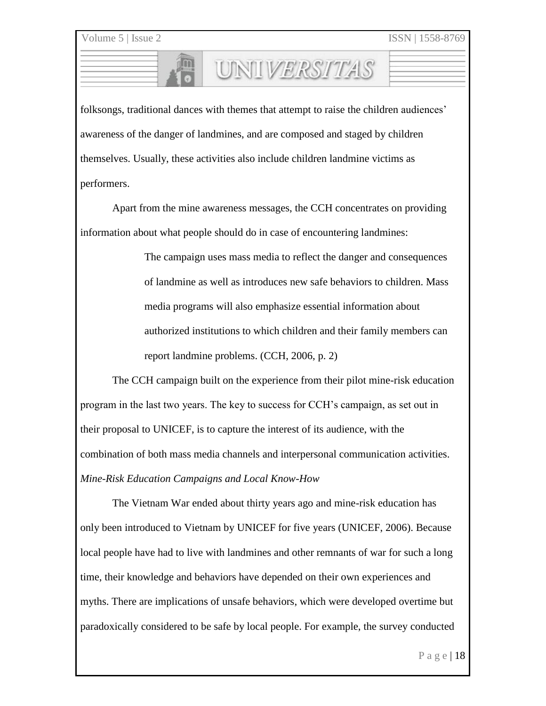folksongs, traditional dances with themes that attempt to raise the children audiences' awareness of the danger of landmines, and are composed and staged by children themselves. Usually, these activities also include children landmine victims as performers.

UNIVERSITAS

Apart from the mine awareness messages, the CCH concentrates on providing information about what people should do in case of encountering landmines:

> The campaign uses mass media to reflect the danger and consequences of landmine as well as introduces new safe behaviors to children. Mass media programs will also emphasize essential information about authorized institutions to which children and their family members can report landmine problems. (CCH, 2006, p. 2)

The CCH campaign built on the experience from their pilot mine-risk education program in the last two years. The key to success for CCH's campaign, as set out in their proposal to UNICEF, is to capture the interest of its audience, with the combination of both mass media channels and interpersonal communication activities. *Mine-Risk Education Campaigns and Local Know-How*

The Vietnam War ended about thirty years ago and mine-risk education has only been introduced to Vietnam by UNICEF for five years (UNICEF, 2006). Because local people have had to live with landmines and other remnants of war for such a long time, their knowledge and behaviors have depended on their own experiences and myths. There are implications of unsafe behaviors, which were developed overtime but paradoxically considered to be safe by local people. For example, the survey conducted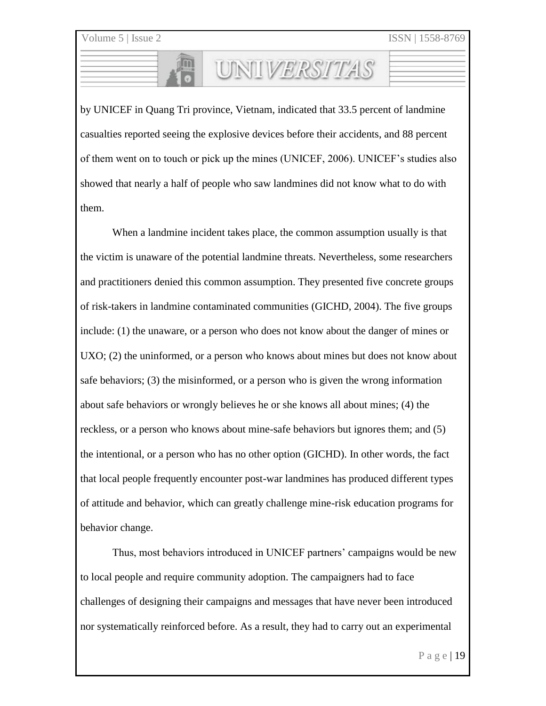by UNICEF in Quang Tri province, Vietnam, indicated that 33.5 percent of landmine casualties reported seeing the explosive devices before their accidents, and 88 percent of them went on to touch or pick up the mines (UNICEF, 2006). UNICEF's studies also showed that nearly a half of people who saw landmines did not know what to do with them.

UNILVERSITAS

When a landmine incident takes place, the common assumption usually is that the victim is unaware of the potential landmine threats. Nevertheless, some researchers and practitioners denied this common assumption. They presented five concrete groups of risk-takers in landmine contaminated communities (GICHD, 2004). The five groups include: (1) the unaware, or a person who does not know about the danger of mines or UXO; (2) the uninformed, or a person who knows about mines but does not know about safe behaviors; (3) the misinformed, or a person who is given the wrong information about safe behaviors or wrongly believes he or she knows all about mines; (4) the reckless, or a person who knows about mine-safe behaviors but ignores them; and (5) the intentional, or a person who has no other option (GICHD). In other words, the fact that local people frequently encounter post-war landmines has produced different types of attitude and behavior, which can greatly challenge mine-risk education programs for behavior change.

Thus, most behaviors introduced in UNICEF partners' campaigns would be new to local people and require community adoption. The campaigners had to face challenges of designing their campaigns and messages that have never been introduced nor systematically reinforced before. As a result, they had to carry out an experimental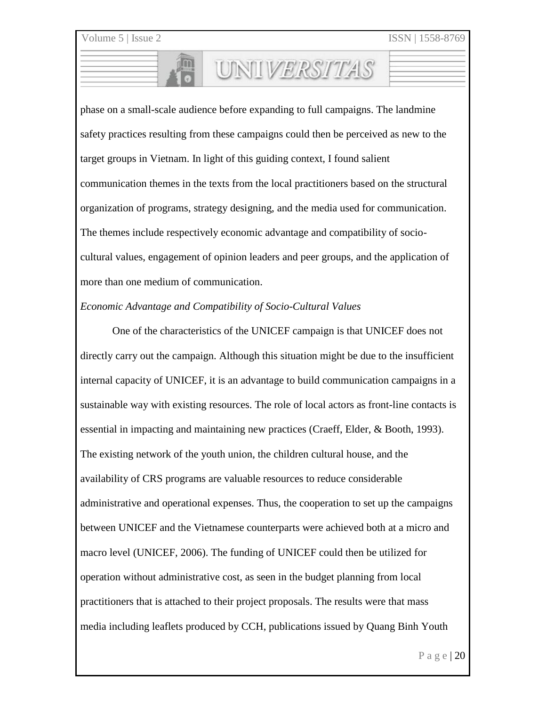phase on a small-scale audience before expanding to full campaigns. The landmine safety practices resulting from these campaigns could then be perceived as new to the target groups in Vietnam. In light of this guiding context, I found salient communication themes in the texts from the local practitioners based on the structural organization of programs, strategy designing, and the media used for communication. The themes include respectively economic advantage and compatibility of sociocultural values, engagement of opinion leaders and peer groups, and the application of more than one medium of communication.

UNIVERSITAS

### *Economic Advantage and Compatibility of Socio-Cultural Values*

One of the characteristics of the UNICEF campaign is that UNICEF does not directly carry out the campaign. Although this situation might be due to the insufficient internal capacity of UNICEF, it is an advantage to build communication campaigns in a sustainable way with existing resources. The role of local actors as front-line contacts is essential in impacting and maintaining new practices (Craeff, Elder, & Booth, 1993). The existing network of the youth union, the children cultural house, and the availability of CRS programs are valuable resources to reduce considerable administrative and operational expenses. Thus, the cooperation to set up the campaigns between UNICEF and the Vietnamese counterparts were achieved both at a micro and macro level (UNICEF, 2006). The funding of UNICEF could then be utilized for operation without administrative cost, as seen in the budget planning from local practitioners that is attached to their project proposals. The results were that mass media including leaflets produced by CCH, publications issued by Quang Binh Youth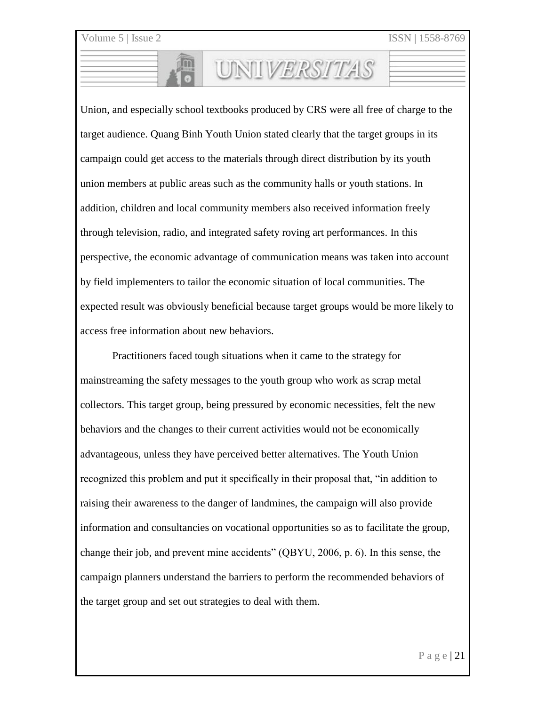Union, and especially school textbooks produced by CRS were all free of charge to the target audience. Quang Binh Youth Union stated clearly that the target groups in its campaign could get access to the materials through direct distribution by its youth union members at public areas such as the community halls or youth stations. In addition, children and local community members also received information freely through television, radio, and integrated safety roving art performances. In this perspective, the economic advantage of communication means was taken into account by field implementers to tailor the economic situation of local communities. The expected result was obviously beneficial because target groups would be more likely to access free information about new behaviors.

UNIVERSITAS

Practitioners faced tough situations when it came to the strategy for mainstreaming the safety messages to the youth group who work as scrap metal collectors. This target group, being pressured by economic necessities, felt the new behaviors and the changes to their current activities would not be economically advantageous, unless they have perceived better alternatives. The Youth Union recognized this problem and put it specifically in their proposal that, "in addition to raising their awareness to the danger of landmines, the campaign will also provide information and consultancies on vocational opportunities so as to facilitate the group, change their job, and prevent mine accidents" (QBYU, 2006, p. 6). In this sense, the campaign planners understand the barriers to perform the recommended behaviors of the target group and set out strategies to deal with them.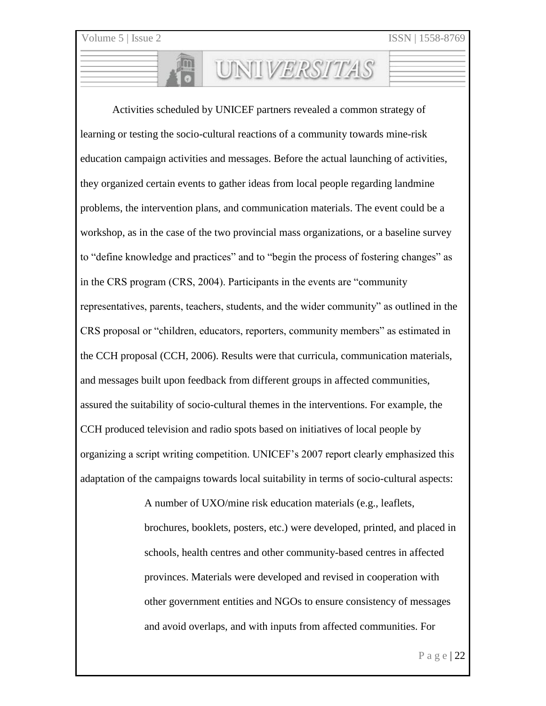Activities scheduled by UNICEF partners revealed a common strategy of learning or testing the socio-cultural reactions of a community towards mine-risk education campaign activities and messages. Before the actual launching of activities, they organized certain events to gather ideas from local people regarding landmine problems, the intervention plans, and communication materials. The event could be a workshop, as in the case of the two provincial mass organizations, or a baseline survey to "define knowledge and practices" and to "begin the process of fostering changes" as in the CRS program (CRS, 2004). Participants in the events are "community representatives, parents, teachers, students, and the wider community" as outlined in the CRS proposal or "children, educators, reporters, community members" as estimated in the CCH proposal (CCH, 2006). Results were that curricula, communication materials, and messages built upon feedback from different groups in affected communities, assured the suitability of socio-cultural themes in the interventions. For example, the CCH produced television and radio spots based on initiatives of local people by organizing a script writing competition. UNICEF's 2007 report clearly emphasized this adaptation of the campaigns towards local suitability in terms of socio-cultural aspects:

UNIVERSITAS

A number of UXO/mine risk education materials (e.g., leaflets, brochures, booklets, posters, etc.) were developed, printed, and placed in schools, health centres and other community-based centres in affected provinces. Materials were developed and revised in cooperation with other government entities and NGOs to ensure consistency of messages and avoid overlaps, and with inputs from affected communities. For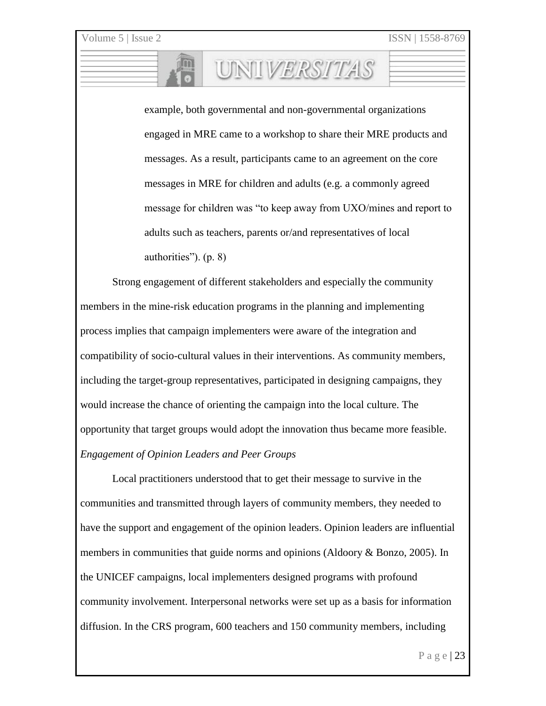example, both governmental and non-governmental organizations engaged in MRE came to a workshop to share their MRE products and messages. As a result, participants came to an agreement on the core messages in MRE for children and adults (e.g. a commonly agreed message for children was "to keep away from UXO/mines and report to adults such as teachers, parents or/and representatives of local authorities"). (p. 8)

UNIVERSITAS

Strong engagement of different stakeholders and especially the community members in the mine-risk education programs in the planning and implementing process implies that campaign implementers were aware of the integration and compatibility of socio-cultural values in their interventions. As community members, including the target-group representatives, participated in designing campaigns, they would increase the chance of orienting the campaign into the local culture. The opportunity that target groups would adopt the innovation thus became more feasible. *Engagement of Opinion Leaders and Peer Groups*

Local practitioners understood that to get their message to survive in the communities and transmitted through layers of community members, they needed to have the support and engagement of the opinion leaders. Opinion leaders are influential members in communities that guide norms and opinions (Aldoory & Bonzo, 2005). In the UNICEF campaigns, local implementers designed programs with profound community involvement. Interpersonal networks were set up as a basis for information diffusion. In the CRS program, 600 teachers and 150 community members, including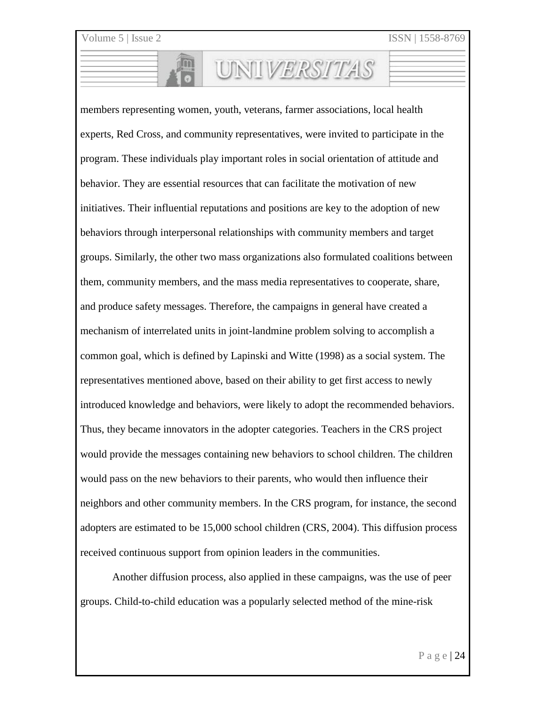members representing women, youth, veterans, farmer associations, local health experts, Red Cross, and community representatives, were invited to participate in the program. These individuals play important roles in social orientation of attitude and behavior. They are essential resources that can facilitate the motivation of new initiatives. Their influential reputations and positions are key to the adoption of new behaviors through interpersonal relationships with community members and target groups. Similarly, the other two mass organizations also formulated coalitions between them, community members, and the mass media representatives to cooperate, share, and produce safety messages. Therefore, the campaigns in general have created a mechanism of interrelated units in joint-landmine problem solving to accomplish a common goal, which is defined by Lapinski and Witte (1998) as a social system. The representatives mentioned above, based on their ability to get first access to newly introduced knowledge and behaviors, were likely to adopt the recommended behaviors. Thus, they became innovators in the adopter categories. Teachers in the CRS project would provide the messages containing new behaviors to school children. The children would pass on the new behaviors to their parents, who would then influence their neighbors and other community members. In the CRS program, for instance, the second adopters are estimated to be 15,000 school children (CRS, 2004). This diffusion process received continuous support from opinion leaders in the communities.

UNIVERSITAS

Another diffusion process, also applied in these campaigns, was the use of peer groups. Child-to-child education was a popularly selected method of the mine-risk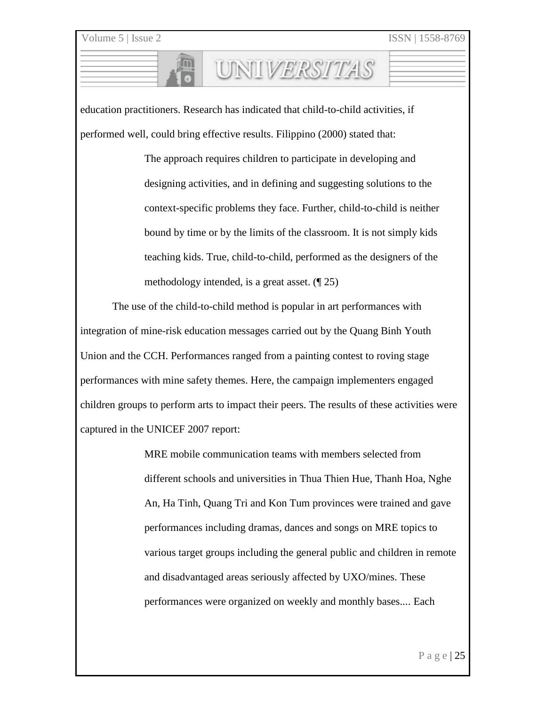education practitioners. Research has indicated that child-to-child activities, if performed well, could bring effective results. Filippino (2000) stated that:

> The approach requires children to participate in developing and designing activities, and in defining and suggesting solutions to the context-specific problems they face. Further, child-to-child is neither bound by time or by the limits of the classroom. It is not simply kids teaching kids. True, child-to-child, performed as the designers of the methodology intended, is a great asset. (¶ 25)

UNIIVERSITAS

The use of the child-to-child method is popular in art performances with integration of mine-risk education messages carried out by the Quang Binh Youth Union and the CCH. Performances ranged from a painting contest to roving stage performances with mine safety themes. Here, the campaign implementers engaged children groups to perform arts to impact their peers. The results of these activities were captured in the UNICEF 2007 report:

> MRE mobile communication teams with members selected from different schools and universities in Thua Thien Hue, Thanh Hoa, Nghe An, Ha Tinh, Quang Tri and Kon Tum provinces were trained and gave performances including dramas, dances and songs on MRE topics to various target groups including the general public and children in remote and disadvantaged areas seriously affected by UXO/mines. These performances were organized on weekly and monthly bases.... Each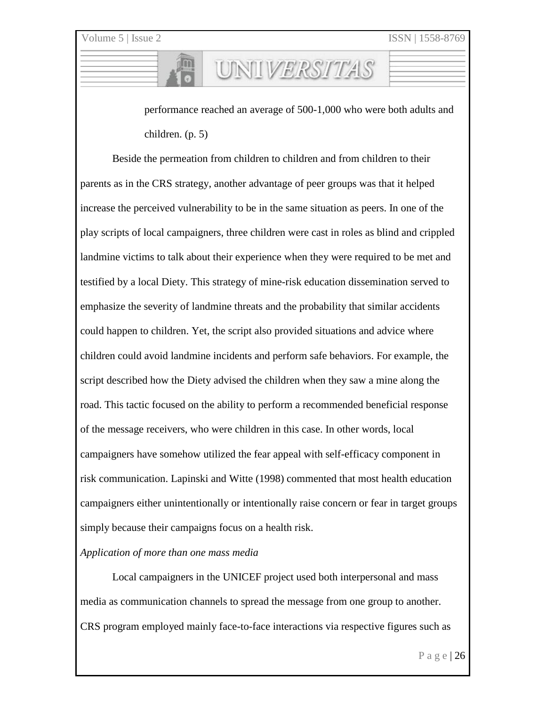performance reached an average of 500-1,000 who were both adults and children. (p. 5)

UNIVERSITAS

Beside the permeation from children to children and from children to their parents as in the CRS strategy, another advantage of peer groups was that it helped increase the perceived vulnerability to be in the same situation as peers. In one of the play scripts of local campaigners, three children were cast in roles as blind and crippled landmine victims to talk about their experience when they were required to be met and testified by a local Diety. This strategy of mine-risk education dissemination served to emphasize the severity of landmine threats and the probability that similar accidents could happen to children. Yet, the script also provided situations and advice where children could avoid landmine incidents and perform safe behaviors. For example, the script described how the Diety advised the children when they saw a mine along the road. This tactic focused on the ability to perform a recommended beneficial response of the message receivers, who were children in this case. In other words, local campaigners have somehow utilized the fear appeal with self-efficacy component in risk communication. Lapinski and Witte (1998) commented that most health education campaigners either unintentionally or intentionally raise concern or fear in target groups simply because their campaigns focus on a health risk.

#### *Application of more than one mass media*

Local campaigners in the UNICEF project used both interpersonal and mass media as communication channels to spread the message from one group to another. CRS program employed mainly face-to-face interactions via respective figures such as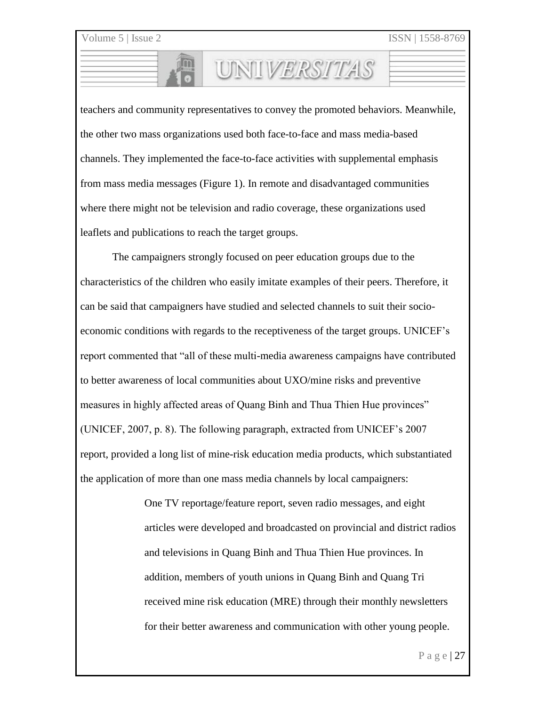teachers and community representatives to convey the promoted behaviors. Meanwhile, the other two mass organizations used both face-to-face and mass media-based channels. They implemented the face-to-face activities with supplemental emphasis from mass media messages (Figure 1). In remote and disadvantaged communities where there might not be television and radio coverage, these organizations used leaflets and publications to reach the target groups.

UNIVERSITAS

The campaigners strongly focused on peer education groups due to the characteristics of the children who easily imitate examples of their peers. Therefore, it can be said that campaigners have studied and selected channels to suit their socioeconomic conditions with regards to the receptiveness of the target groups. UNICEF's report commented that "all of these multi-media awareness campaigns have contributed to better awareness of local communities about UXO/mine risks and preventive measures in highly affected areas of Quang Binh and Thua Thien Hue provinces" (UNICEF, 2007, p. 8). The following paragraph, extracted from UNICEF's 2007 report, provided a long list of mine-risk education media products, which substantiated the application of more than one mass media channels by local campaigners:

> One TV reportage/feature report, seven radio messages, and eight articles were developed and broadcasted on provincial and district radios and televisions in Quang Binh and Thua Thien Hue provinces. In addition, members of youth unions in Quang Binh and Quang Tri received mine risk education (MRE) through their monthly newsletters for their better awareness and communication with other young people.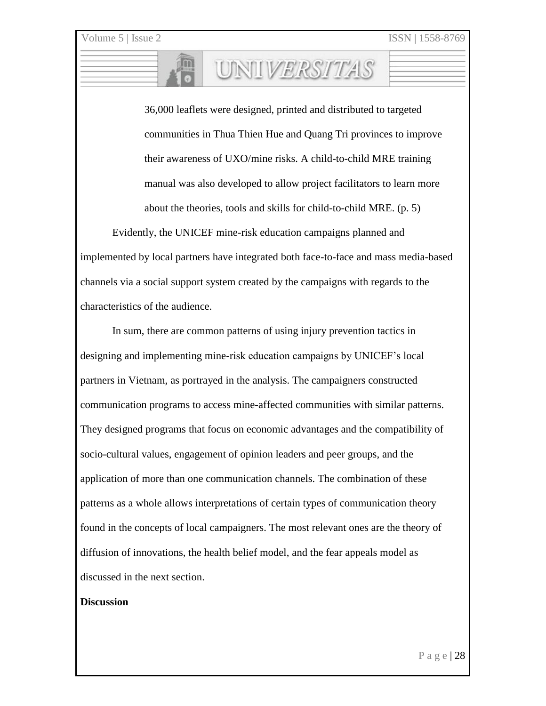36,000 leaflets were designed, printed and distributed to targeted communities in Thua Thien Hue and Quang Tri provinces to improve their awareness of UXO/mine risks. A child-to-child MRE training manual was also developed to allow project facilitators to learn more about the theories, tools and skills for child-to-child MRE. (p. 5)

UNII*VERSITAS* 

Evidently, the UNICEF mine-risk education campaigns planned and implemented by local partners have integrated both face-to-face and mass media-based channels via a social support system created by the campaigns with regards to the characteristics of the audience.

In sum, there are common patterns of using injury prevention tactics in designing and implementing mine-risk education campaigns by UNICEF's local partners in Vietnam, as portrayed in the analysis. The campaigners constructed communication programs to access mine-affected communities with similar patterns. They designed programs that focus on economic advantages and the compatibility of socio-cultural values, engagement of opinion leaders and peer groups, and the application of more than one communication channels. The combination of these patterns as a whole allows interpretations of certain types of communication theory found in the concepts of local campaigners. The most relevant ones are the theory of diffusion of innovations, the health belief model, and the fear appeals model as discussed in the next section.

#### **Discussion**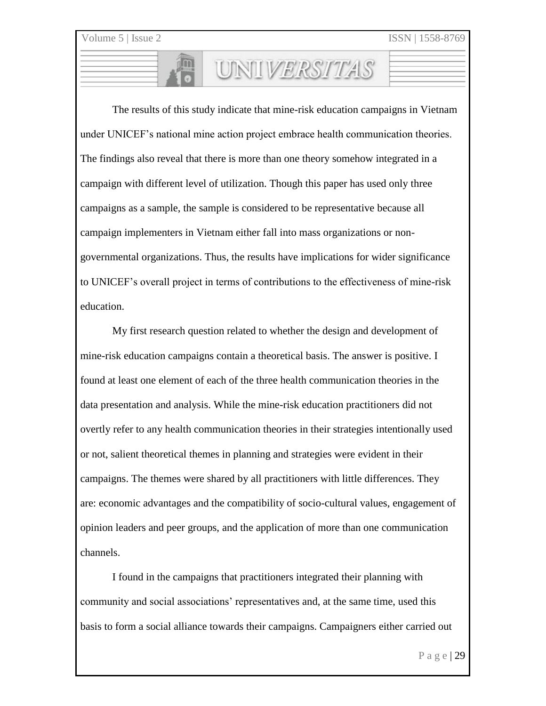The results of this study indicate that mine-risk education campaigns in Vietnam under UNICEF's national mine action project embrace health communication theories. The findings also reveal that there is more than one theory somehow integrated in a campaign with different level of utilization. Though this paper has used only three campaigns as a sample, the sample is considered to be representative because all campaign implementers in Vietnam either fall into mass organizations or nongovernmental organizations. Thus, the results have implications for wider significance to UNICEF's overall project in terms of contributions to the effectiveness of mine-risk education.

UNIVERSITAS

My first research question related to whether the design and development of mine-risk education campaigns contain a theoretical basis. The answer is positive. I found at least one element of each of the three health communication theories in the data presentation and analysis. While the mine-risk education practitioners did not overtly refer to any health communication theories in their strategies intentionally used or not, salient theoretical themes in planning and strategies were evident in their campaigns. The themes were shared by all practitioners with little differences. They are: economic advantages and the compatibility of socio-cultural values, engagement of opinion leaders and peer groups, and the application of more than one communication channels.

I found in the campaigns that practitioners integrated their planning with community and social associations' representatives and, at the same time, used this basis to form a social alliance towards their campaigns. Campaigners either carried out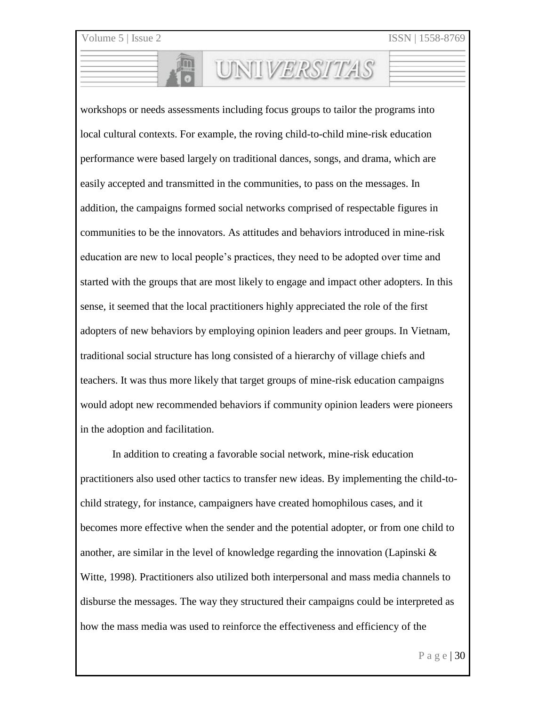workshops or needs assessments including focus groups to tailor the programs into local cultural contexts. For example, the roving child-to-child mine-risk education performance were based largely on traditional dances, songs, and drama, which are easily accepted and transmitted in the communities, to pass on the messages. In addition, the campaigns formed social networks comprised of respectable figures in communities to be the innovators. As attitudes and behaviors introduced in mine-risk education are new to local people's practices, they need to be adopted over time and started with the groups that are most likely to engage and impact other adopters. In this sense, it seemed that the local practitioners highly appreciated the role of the first adopters of new behaviors by employing opinion leaders and peer groups. In Vietnam, traditional social structure has long consisted of a hierarchy of village chiefs and teachers. It was thus more likely that target groups of mine-risk education campaigns would adopt new recommended behaviors if community opinion leaders were pioneers in the adoption and facilitation.

UNIVERSITAS

In addition to creating a favorable social network, mine-risk education practitioners also used other tactics to transfer new ideas. By implementing the child-tochild strategy, for instance, campaigners have created homophilous cases, and it becomes more effective when the sender and the potential adopter, or from one child to another, are similar in the level of knowledge regarding the innovation (Lapinski  $\&$ Witte, 1998). Practitioners also utilized both interpersonal and mass media channels to disburse the messages. The way they structured their campaigns could be interpreted as how the mass media was used to reinforce the effectiveness and efficiency of the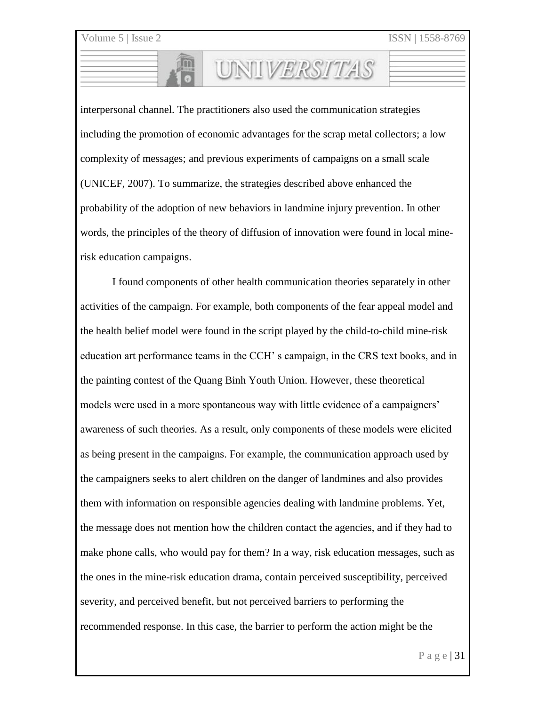interpersonal channel. The practitioners also used the communication strategies including the promotion of economic advantages for the scrap metal collectors; a low complexity of messages; and previous experiments of campaigns on a small scale (UNICEF, 2007). To summarize, the strategies described above enhanced the probability of the adoption of new behaviors in landmine injury prevention. In other words, the principles of the theory of diffusion of innovation were found in local minerisk education campaigns.

UNIVERSITAS

I found components of other health communication theories separately in other activities of the campaign. For example, both components of the fear appeal model and the health belief model were found in the script played by the child-to-child mine-risk education art performance teams in the CCH' s campaign, in the CRS text books, and in the painting contest of the Quang Binh Youth Union. However, these theoretical models were used in a more spontaneous way with little evidence of a campaigners' awareness of such theories. As a result, only components of these models were elicited as being present in the campaigns. For example, the communication approach used by the campaigners seeks to alert children on the danger of landmines and also provides them with information on responsible agencies dealing with landmine problems. Yet, the message does not mention how the children contact the agencies, and if they had to make phone calls, who would pay for them? In a way, risk education messages, such as the ones in the mine-risk education drama, contain perceived susceptibility, perceived severity, and perceived benefit, but not perceived barriers to performing the recommended response. In this case, the barrier to perform the action might be the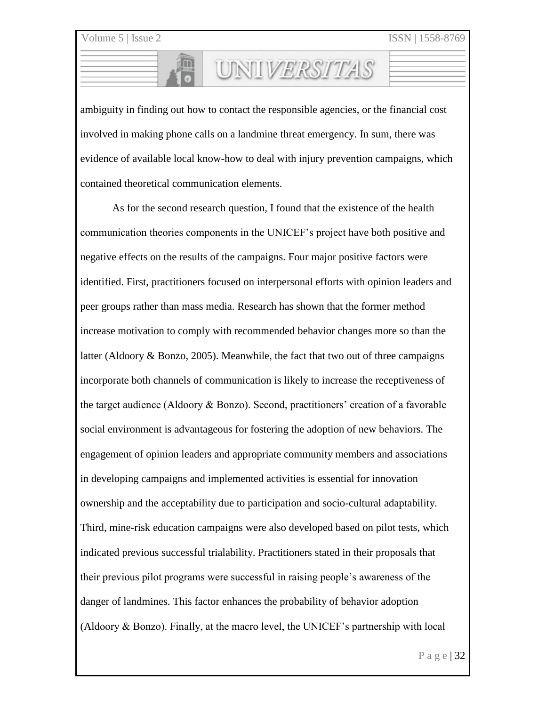ambiguity in finding out how to contact the responsible agencies, or the financial cost involved in making phone calls on a landmine threat emergency. In sum, there was evidence of available local know-how to deal with injury prevention campaigns, which contained theoretical communication elements.

UNIVERSITAS

As for the second research question, I found that the existence of the health communication theories components in the UNICEF's project have both positive and negative effects on the results of the campaigns. Four major positive factors were identified. First, practitioners focused on interpersonal efforts with opinion leaders and peer groups rather than mass media. Research has shown that the former method increase motivation to comply with recommended behavior changes more so than the latter (Aldoory  $\&$  Bonzo, 2005). Meanwhile, the fact that two out of three campaigns incorporate both channels of communication is likely to increase the receptiveness of the target audience (Aldoory & Bonzo). Second, practitioners' creation of a favorable social environment is advantageous for fostering the adoption of new behaviors. The engagement of opinion leaders and appropriate community members and associations in developing campaigns and implemented activities is essential for innovation ownership and the acceptability due to participation and socio-cultural adaptability. Third, mine-risk education campaigns were also developed based on pilot tests, which indicated previous successful trialability. Practitioners stated in their proposals that their previous pilot programs were successful in raising people's awareness of the danger of landmines. This factor enhances the probability of behavior adoption (Aldoory & Bonzo). Finally, at the macro level, the UNICEF's partnership with local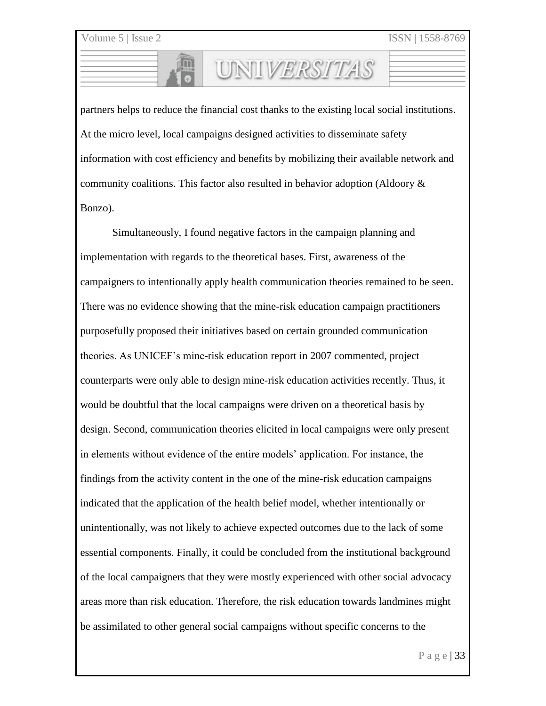partners helps to reduce the financial cost thanks to the existing local social institutions. At the micro level, local campaigns designed activities to disseminate safety information with cost efficiency and benefits by mobilizing their available network and community coalitions. This factor also resulted in behavior adoption (Aldoory  $\&$ Bonzo).

UNIVERSITAS

Simultaneously, I found negative factors in the campaign planning and implementation with regards to the theoretical bases. First, awareness of the campaigners to intentionally apply health communication theories remained to be seen. There was no evidence showing that the mine-risk education campaign practitioners purposefully proposed their initiatives based on certain grounded communication theories. As UNICEF's mine-risk education report in 2007 commented, project counterparts were only able to design mine-risk education activities recently. Thus, it would be doubtful that the local campaigns were driven on a theoretical basis by design. Second, communication theories elicited in local campaigns were only present in elements without evidence of the entire models' application. For instance, the findings from the activity content in the one of the mine-risk education campaigns indicated that the application of the health belief model, whether intentionally or unintentionally, was not likely to achieve expected outcomes due to the lack of some essential components. Finally, it could be concluded from the institutional background of the local campaigners that they were mostly experienced with other social advocacy areas more than risk education. Therefore, the risk education towards landmines might be assimilated to other general social campaigns without specific concerns to the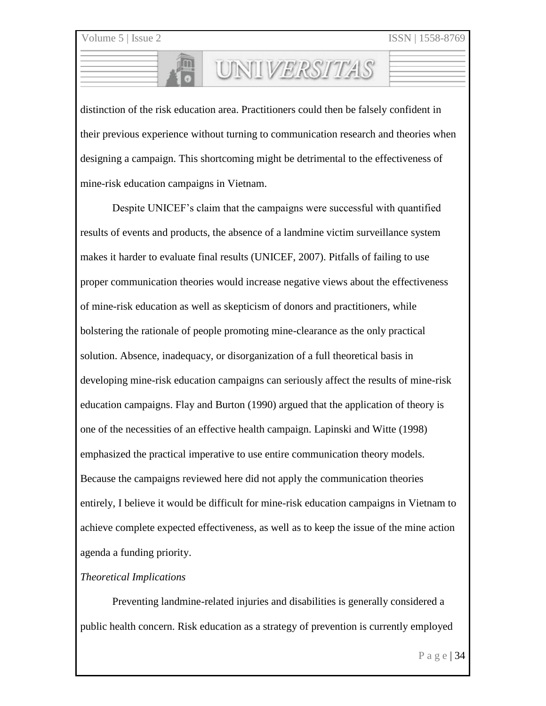distinction of the risk education area. Practitioners could then be falsely confident in their previous experience without turning to communication research and theories when designing a campaign. This shortcoming might be detrimental to the effectiveness of mine-risk education campaigns in Vietnam.

UNIVERSITAS

Despite UNICEF's claim that the campaigns were successful with quantified results of events and products, the absence of a landmine victim surveillance system makes it harder to evaluate final results (UNICEF, 2007). Pitfalls of failing to use proper communication theories would increase negative views about the effectiveness of mine-risk education as well as skepticism of donors and practitioners, while bolstering the rationale of people promoting mine-clearance as the only practical solution. Absence, inadequacy, or disorganization of a full theoretical basis in developing mine-risk education campaigns can seriously affect the results of mine-risk education campaigns. Flay and Burton (1990) argued that the application of theory is one of the necessities of an effective health campaign. Lapinski and Witte (1998) emphasized the practical imperative to use entire communication theory models. Because the campaigns reviewed here did not apply the communication theories entirely, I believe it would be difficult for mine-risk education campaigns in Vietnam to achieve complete expected effectiveness, as well as to keep the issue of the mine action agenda a funding priority.

#### *Theoretical Implications*

Preventing landmine-related injuries and disabilities is generally considered a public health concern. Risk education as a strategy of prevention is currently employed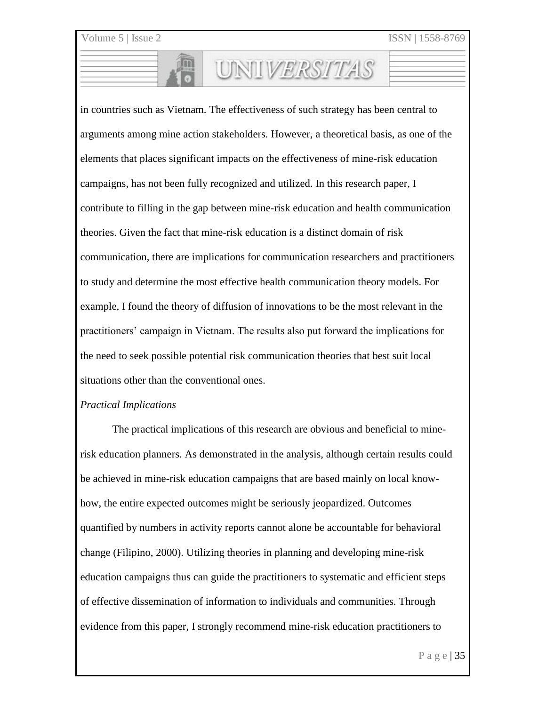in countries such as Vietnam. The effectiveness of such strategy has been central to arguments among mine action stakeholders. However, a theoretical basis, as one of the elements that places significant impacts on the effectiveness of mine-risk education campaigns, has not been fully recognized and utilized. In this research paper, I contribute to filling in the gap between mine-risk education and health communication theories. Given the fact that mine-risk education is a distinct domain of risk communication, there are implications for communication researchers and practitioners to study and determine the most effective health communication theory models. For example, I found the theory of diffusion of innovations to be the most relevant in the practitioners' campaign in Vietnam. The results also put forward the implications for the need to seek possible potential risk communication theories that best suit local situations other than the conventional ones.

UNIVERSITAS

# *Practical Implications*

The practical implications of this research are obvious and beneficial to minerisk education planners. As demonstrated in the analysis, although certain results could be achieved in mine-risk education campaigns that are based mainly on local knowhow, the entire expected outcomes might be seriously jeopardized. Outcomes quantified by numbers in activity reports cannot alone be accountable for behavioral change (Filipino, 2000). Utilizing theories in planning and developing mine-risk education campaigns thus can guide the practitioners to systematic and efficient steps of effective dissemination of information to individuals and communities. Through evidence from this paper, I strongly recommend mine-risk education practitioners to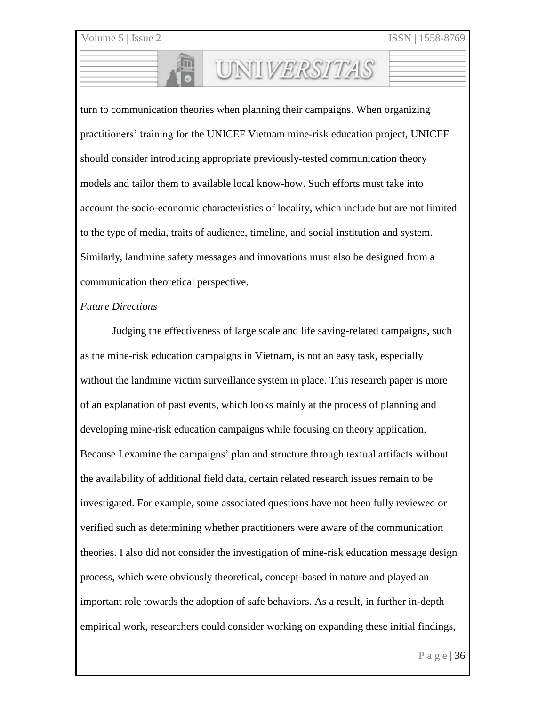turn to communication theories when planning their campaigns. When organizing practitioners' training for the UNICEF Vietnam mine-risk education project, UNICEF should consider introducing appropriate previously-tested communication theory models and tailor them to available local know-how. Such efforts must take into account the socio-economic characteristics of locality, which include but are not limited to the type of media, traits of audience, timeline, and social institution and system. Similarly, landmine safety messages and innovations must also be designed from a communication theoretical perspective.

UNIVERSITAS

#### *Future Directions*

Judging the effectiveness of large scale and life saving-related campaigns, such as the mine-risk education campaigns in Vietnam, is not an easy task, especially without the landmine victim surveillance system in place. This research paper is more of an explanation of past events, which looks mainly at the process of planning and developing mine-risk education campaigns while focusing on theory application. Because I examine the campaigns' plan and structure through textual artifacts without the availability of additional field data, certain related research issues remain to be investigated. For example, some associated questions have not been fully reviewed or verified such as determining whether practitioners were aware of the communication theories. I also did not consider the investigation of mine-risk education message design process, which were obviously theoretical, concept-based in nature and played an important role towards the adoption of safe behaviors. As a result, in further in-depth empirical work, researchers could consider working on expanding these initial findings,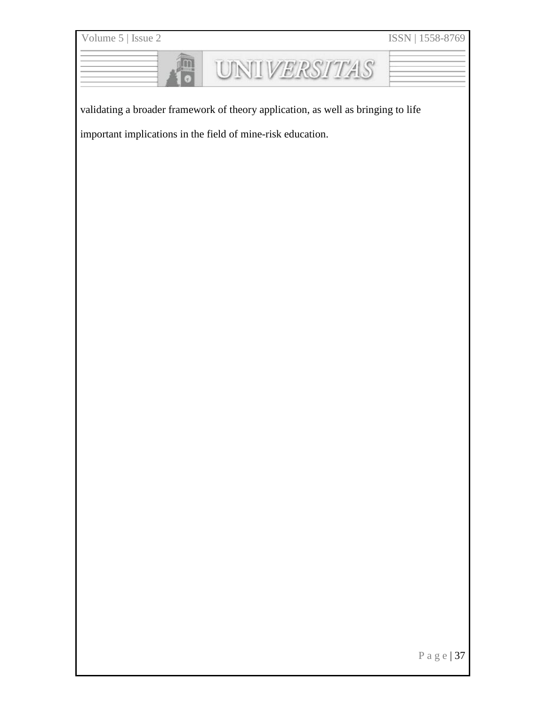| Volume 5   Issue 2                                                                | ISSN   1558-8769 |
|-----------------------------------------------------------------------------------|------------------|
| <b>UNIVERSITAS</b>                                                                |                  |
| validating a broader framework of theory application, as well as bringing to life |                  |
| important implications in the field of mine-risk education.                       |                  |
|                                                                                   |                  |
|                                                                                   |                  |
|                                                                                   |                  |
|                                                                                   |                  |
|                                                                                   |                  |
|                                                                                   |                  |
|                                                                                   |                  |
|                                                                                   |                  |
|                                                                                   |                  |
|                                                                                   |                  |
|                                                                                   |                  |
|                                                                                   |                  |
|                                                                                   |                  |
|                                                                                   |                  |
|                                                                                   |                  |
|                                                                                   |                  |
|                                                                                   |                  |
|                                                                                   |                  |
|                                                                                   |                  |
|                                                                                   |                  |
|                                                                                   |                  |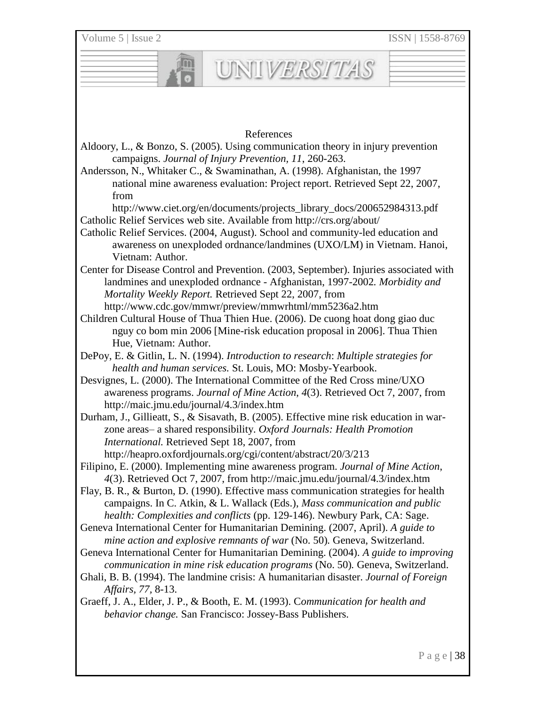